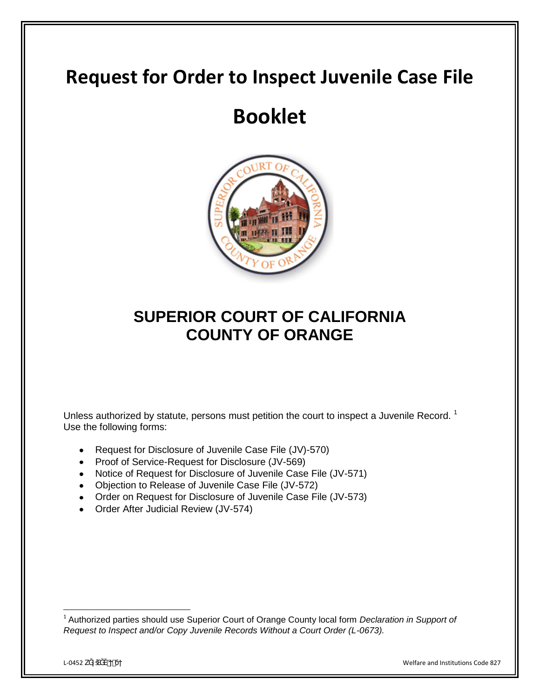## **Request for Order to Inspect Juvenile Case File**

## **Booklet**



### **SUPERIOR COURT OF CALIFORNIA COUNTY OF ORANGE**

Unless authorized by statute, persons must petition the court to inspect a Juvenile Record.<sup>1</sup> Use the following forms:

- Request for Disclosure of Juvenile Case File (JV)-570)
- Proof of Service-Request for Disclosure (JV-569)
- Notice of Request for Disclosure of Juvenile Case File (JV-571)
- Objection to Release of Juvenile Case File (JV-572)
- Order on Request for Disclosure of Juvenile Case File (JV-573)
- Order After Judicial Review (JV-574)

l <sup>1</sup> Authorized parties should use Superior Court of Orange County local form *Declaration in Support of Request to Inspect and/or Copy Juvenile Records Without a Court Order (L-0673).*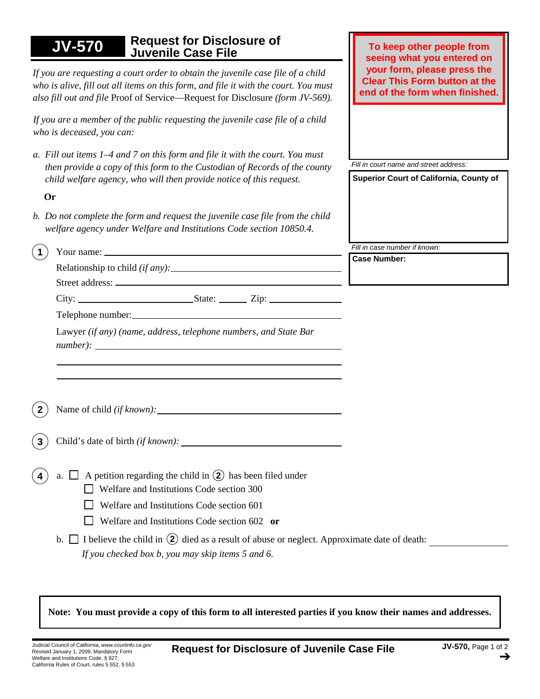| <b>Request for Disclosure of</b><br><b>JV-570</b><br><b>Juvenile Case File</b>                                                                                                                                                                                                                                                                                                      | To keep other people from<br>seeing what you entered on                                               |
|-------------------------------------------------------------------------------------------------------------------------------------------------------------------------------------------------------------------------------------------------------------------------------------------------------------------------------------------------------------------------------------|-------------------------------------------------------------------------------------------------------|
| If you are requesting a court order to obtain the juvenile case file of a child<br>who is alive, fill out all items on this form, and file it with the court. You must<br>also fill out and file Proof of Service—Request for Disclosure (form JV-569).                                                                                                                             | your form, please press the<br><b>Clear This Form button at the</b><br>end of the form when finished. |
| If you are a member of the public requesting the juvenile case file of a child<br>who is deceased, you can:                                                                                                                                                                                                                                                                         |                                                                                                       |
| a. Fill out items 1–4 and 7 on this form and file it with the court. You must<br>then provide a copy of this form to the Custodian of Records of the county<br>child welfare agency, who will then provide notice of this request.                                                                                                                                                  | Fill in court name and street address:<br>Superior Court of California, County of                     |
| Or                                                                                                                                                                                                                                                                                                                                                                                  |                                                                                                       |
| b. Do not complete the form and request the juvenile case file from the child<br>welfare agency under Welfare and Institutions Code section 10850.4.                                                                                                                                                                                                                                |                                                                                                       |
| $\mathbf 1$                                                                                                                                                                                                                                                                                                                                                                         | Fill in case number if known:                                                                         |
|                                                                                                                                                                                                                                                                                                                                                                                     | <b>Case Number:</b>                                                                                   |
|                                                                                                                                                                                                                                                                                                                                                                                     |                                                                                                       |
|                                                                                                                                                                                                                                                                                                                                                                                     |                                                                                                       |
| Lawyer (if any) (name, address, telephone numbers, and State Bar<br>$number):$ $\qquad$                                                                                                                                                                                                                                                                                             |                                                                                                       |
|                                                                                                                                                                                                                                                                                                                                                                                     |                                                                                                       |
|                                                                                                                                                                                                                                                                                                                                                                                     |                                                                                                       |
| A petition regarding the child in $(2)$ has been filed under<br>$a. \Box$<br>Welfare and Institutions Code section 300<br>Welfare and Institutions Code section 601<br>Welfare and Institutions Code section 602 or<br>b. $\Box$ I believe the child in $(2)$ died as a result of abuse or neglect. Approximate date of death:<br>If you checked box b, you may skip items 5 and 6. |                                                                                                       |
|                                                                                                                                                                                                                                                                                                                                                                                     |                                                                                                       |

**Note: You must provide a copy of this form to all interested parties if you know their names and addresses.**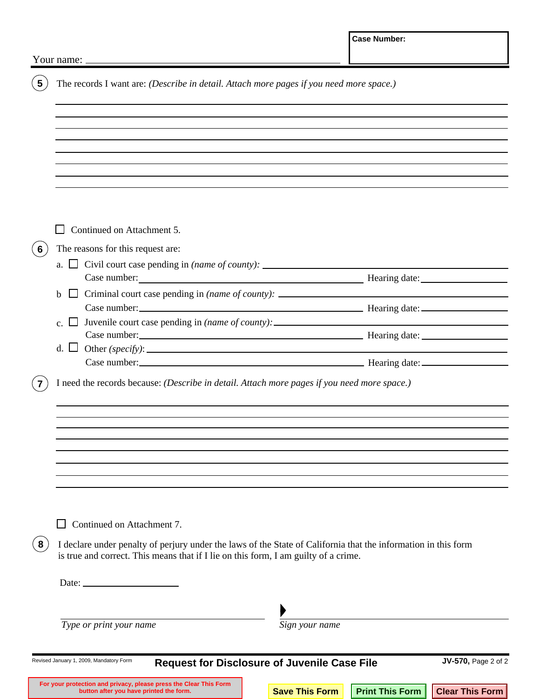|   | Your name: $\sqrt{2}$                                                                                                                                                                                 |  |                       |                        |                        |  |  |
|---|-------------------------------------------------------------------------------------------------------------------------------------------------------------------------------------------------------|--|-----------------------|------------------------|------------------------|--|--|
|   | The records I want are: (Describe in detail. Attach more pages if you need more space.)                                                                                                               |  |                       |                        |                        |  |  |
|   |                                                                                                                                                                                                       |  |                       |                        |                        |  |  |
|   |                                                                                                                                                                                                       |  |                       |                        |                        |  |  |
|   |                                                                                                                                                                                                       |  |                       |                        |                        |  |  |
|   |                                                                                                                                                                                                       |  |                       |                        |                        |  |  |
|   |                                                                                                                                                                                                       |  |                       |                        |                        |  |  |
|   |                                                                                                                                                                                                       |  |                       |                        |                        |  |  |
|   | Continued on Attachment 5.                                                                                                                                                                            |  |                       |                        |                        |  |  |
| 6 | The reasons for this request are:                                                                                                                                                                     |  |                       |                        |                        |  |  |
|   | a. $\Box$ Civil court case pending in (name of county): $\Box$                                                                                                                                        |  |                       |                        |                        |  |  |
|   | $\Box$ Criminal court case pending in (name of county): $\Box$                                                                                                                                        |  |                       |                        |                        |  |  |
|   | <sub>h</sub>                                                                                                                                                                                          |  |                       |                        |                        |  |  |
|   | Juvenile court case pending in (name of county): _______________________________<br>$\blacksquare$                                                                                                    |  |                       |                        |                        |  |  |
|   |                                                                                                                                                                                                       |  |                       |                        |                        |  |  |
|   |                                                                                                                                                                                                       |  |                       |                        |                        |  |  |
|   | I need the records because: (Describe in detail. Attach more pages if you need more space.)                                                                                                           |  |                       |                        |                        |  |  |
|   |                                                                                                                                                                                                       |  |                       |                        |                        |  |  |
|   |                                                                                                                                                                                                       |  |                       |                        |                        |  |  |
|   |                                                                                                                                                                                                       |  |                       |                        |                        |  |  |
|   |                                                                                                                                                                                                       |  |                       |                        |                        |  |  |
|   |                                                                                                                                                                                                       |  |                       |                        |                        |  |  |
|   |                                                                                                                                                                                                       |  |                       |                        |                        |  |  |
|   | Continued on Attachment 7.<br>$\blacksquare$                                                                                                                                                          |  |                       |                        |                        |  |  |
|   |                                                                                                                                                                                                       |  |                       |                        |                        |  |  |
| 8 | I declare under penalty of perjury under the laws of the State of California that the information in this form<br>is true and correct. This means that if I lie on this form, I am guilty of a crime. |  |                       |                        |                        |  |  |
|   | Date: $\qquad \qquad$                                                                                                                                                                                 |  |                       |                        |                        |  |  |
|   |                                                                                                                                                                                                       |  |                       |                        |                        |  |  |
|   | Type or print your name                                                                                                                                                                               |  | Sign your name        |                        |                        |  |  |
|   | Revised January 1, 2009, Mandatory Form                                                                                                                                                               |  |                       |                        | JV-570, Page 2 of 2    |  |  |
|   | <b>Request for Disclosure of Juvenile Case File</b>                                                                                                                                                   |  |                       |                        |                        |  |  |
|   | For your protection and privacy, please press the Clear This Form<br>button after you have printed the form.                                                                                          |  | <b>Save This Form</b> | <b>Print This Form</b> | <b>Clear This Form</b> |  |  |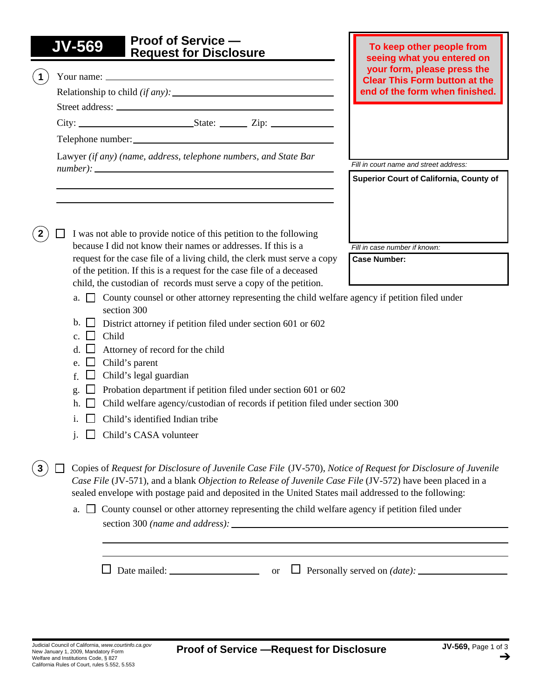# **JV-569 Proof of Service — Request for Disclosure**

|  |    | ס וועסטועט וטו ואסטועס וו                                                                                                                                                                                                                                                                                                           | seeing what you entered on                                          |  |
|--|----|-------------------------------------------------------------------------------------------------------------------------------------------------------------------------------------------------------------------------------------------------------------------------------------------------------------------------------------|---------------------------------------------------------------------|--|
|  |    |                                                                                                                                                                                                                                                                                                                                     | your form, please press the<br><b>Clear This Form button at the</b> |  |
|  |    |                                                                                                                                                                                                                                                                                                                                     | end of the form when finished.                                      |  |
|  |    |                                                                                                                                                                                                                                                                                                                                     |                                                                     |  |
|  |    |                                                                                                                                                                                                                                                                                                                                     |                                                                     |  |
|  |    | Telephone number:                                                                                                                                                                                                                                                                                                                   |                                                                     |  |
|  |    | Lawyer (if any) (name, address, telephone numbers, and State Bar                                                                                                                                                                                                                                                                    | Fill in court name and street address:                              |  |
|  |    |                                                                                                                                                                                                                                                                                                                                     | Superior Court of California, County of                             |  |
|  |    | <u> 1989 - Andrea Stadt Britain, amerikansk politiker (d. 1989)</u>                                                                                                                                                                                                                                                                 |                                                                     |  |
|  |    | I was not able to provide notice of this petition to the following<br>because I did not know their names or addresses. If this is a                                                                                                                                                                                                 | Fill in case number if known:                                       |  |
|  |    | request for the case file of a living child, the clerk must serve a copy                                                                                                                                                                                                                                                            | <b>Case Number:</b>                                                 |  |
|  |    | of the petition. If this is a request for the case file of a deceased                                                                                                                                                                                                                                                               |                                                                     |  |
|  |    | child, the custodian of records must serve a copy of the petition.                                                                                                                                                                                                                                                                  |                                                                     |  |
|  |    | a. $\Box$ County counsel or other attorney representing the child welfare agency if petition filed under<br>section 300                                                                                                                                                                                                             |                                                                     |  |
|  |    | $\mathbf{b}$ . $\Box$ District attorney if petition filed under section 601 or 602                                                                                                                                                                                                                                                  |                                                                     |  |
|  |    | Child                                                                                                                                                                                                                                                                                                                               |                                                                     |  |
|  | d. | Attorney of record for the child                                                                                                                                                                                                                                                                                                    |                                                                     |  |
|  | e. | Child's parent                                                                                                                                                                                                                                                                                                                      |                                                                     |  |
|  |    | Child's legal guardian                                                                                                                                                                                                                                                                                                              |                                                                     |  |
|  | g. | Probation department if petition filed under section 601 or 602                                                                                                                                                                                                                                                                     |                                                                     |  |
|  | h. | Child welfare agency/custodian of records if petition filed under section 300                                                                                                                                                                                                                                                       |                                                                     |  |
|  |    | Child's identified Indian tribe                                                                                                                                                                                                                                                                                                     |                                                                     |  |
|  |    | Child's CASA volunteer                                                                                                                                                                                                                                                                                                              |                                                                     |  |
|  |    | Copies of Request for Disclosure of Juvenile Case File (JV-570), Notice of Request for Disclosure of Juvenile<br>Case File (JV-571), and a blank Objection to Release of Juvenile Case File (JV-572) have been placed in a<br>sealed envelope with postage paid and deposited in the United States mail addressed to the following: |                                                                     |  |
|  | a. | County counsel or other attorney representing the child welfare agency if petition filed under                                                                                                                                                                                                                                      |                                                                     |  |
|  |    |                                                                                                                                                                                                                                                                                                                                     |                                                                     |  |

*Clerk stamps date here when form is filed.*

**To keep other people from**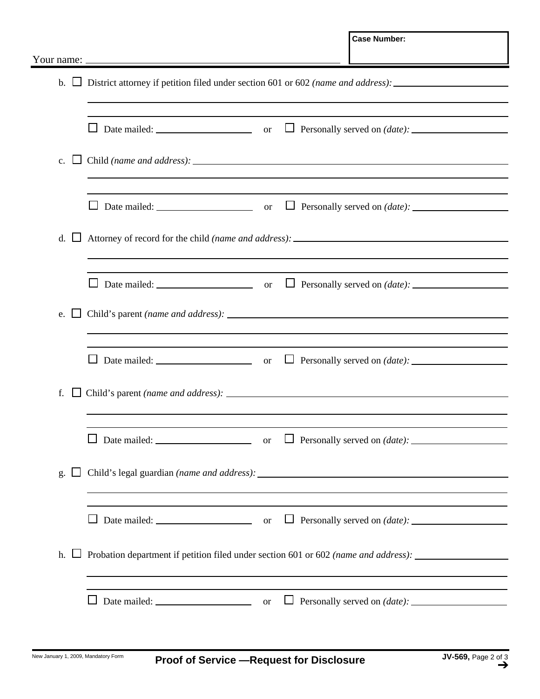|                       |                                                                                     | <b>Case Number:</b>                                                                                              |
|-----------------------|-------------------------------------------------------------------------------------|------------------------------------------------------------------------------------------------------------------|
|                       |                                                                                     |                                                                                                                  |
|                       |                                                                                     |                                                                                                                  |
| - 1<br>C <sub>1</sub> |                                                                                     |                                                                                                                  |
|                       |                                                                                     | the control of the control of the control of the control of the control of the control of                        |
| $d. \Box$             |                                                                                     |                                                                                                                  |
|                       |                                                                                     |                                                                                                                  |
| $\Box$<br>e.          |                                                                                     |                                                                                                                  |
|                       |                                                                                     | $\Box$ Personally served on <i>(date)</i> : $\Box$                                                               |
| f.                    |                                                                                     |                                                                                                                  |
|                       |                                                                                     | $\Box$ Personally served on <i>(date)</i> : $\Box$                                                               |
| $\Box$<br>g.          | ,我们也不会有什么。""我们的人,我们也不会有什么?""我们的人,我们也不会有什么?""我们的人,我们的人,我们也不会有什么?""我们的人,我们的人,我们的人,我   |                                                                                                                  |
|                       |                                                                                     | and the control of the control of the control of the control of the control of the control of the control of the |
| h.                    | Probation department if petition filed under section 601 or 602 (name and address): |                                                                                                                  |
|                       |                                                                                     |                                                                                                                  |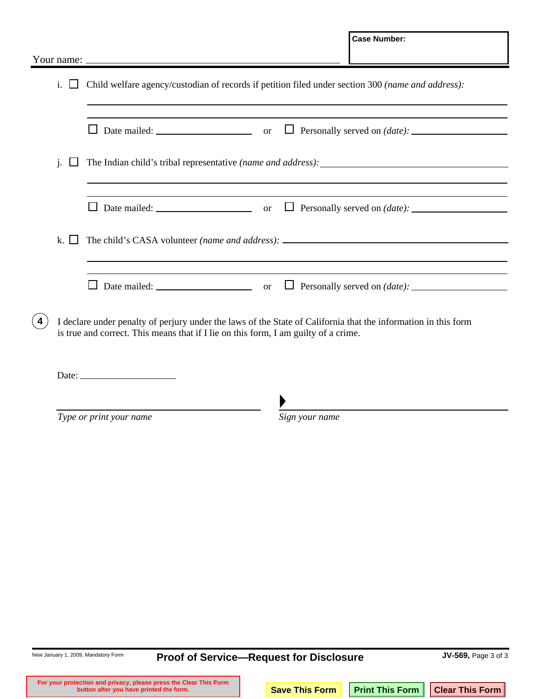|                |                |                                                                                                                                                                                                       | <b>Case Number:</b>                                |
|----------------|----------------|-------------------------------------------------------------------------------------------------------------------------------------------------------------------------------------------------------|----------------------------------------------------|
|                |                |                                                                                                                                                                                                       |                                                    |
| $\mathbf{i}$ . |                | Child welfare agency/custodian of records if petition filed under section 300 (name and address):                                                                                                     |                                                    |
|                |                | ⊔                                                                                                                                                                                                     | $\Box$ Personally served on <i>(date)</i> : $\Box$ |
| j.             |                |                                                                                                                                                                                                       |                                                    |
|                |                |                                                                                                                                                                                                       |                                                    |
|                | $\mathbf{k}$ . |                                                                                                                                                                                                       |                                                    |
|                |                | $\mathsf{L}$                                                                                                                                                                                          |                                                    |
| 4              |                | I declare under penalty of perjury under the laws of the State of California that the information in this form<br>is true and correct. This means that if I lie on this form, I am guilty of a crime. |                                                    |
|                |                | Date: $\frac{1}{2}$                                                                                                                                                                                   |                                                    |
|                |                | Type or print your name<br>Sign your name                                                                                                                                                             |                                                    |

New January 1, 2009, Mandatory Form **JV-569,** Page 3 of 3 **Proof of Service—Request for Disclosure**  For your protection and privacy, please press the Clear This Form **Save This Form Print This Form Clear This Form**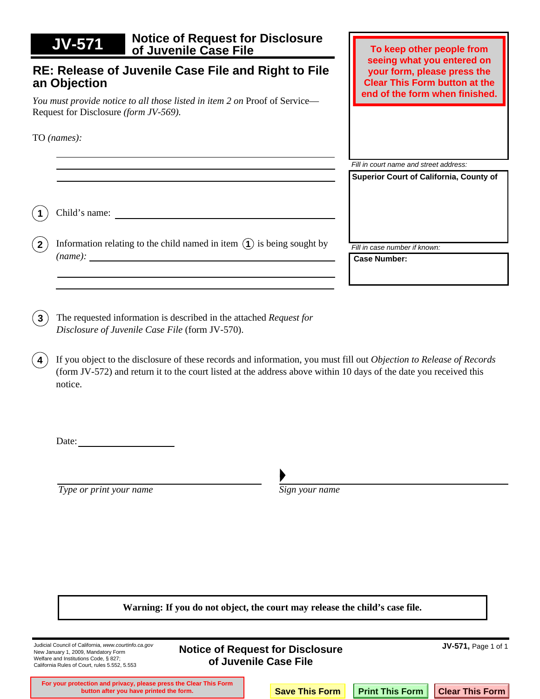| <b>JV-571</b>                                                                                                       | <b>Notice of Request for Disclosure</b><br>of Juvenile Case File                                  | To keep other people from                            |
|---------------------------------------------------------------------------------------------------------------------|---------------------------------------------------------------------------------------------------|------------------------------------------------------|
| RE: Release of Juvenile Case File and Right to File<br>an Objection                                                 | seeing what you entered on<br>your form, please press the<br><b>Clear This Form button at the</b> |                                                      |
| You must provide notice to all those listed in item 2 on Proof of Service-<br>Request for Disclosure (form JV-569). |                                                                                                   | end of the form when finished.                       |
| TO (names):                                                                                                         |                                                                                                   |                                                      |
|                                                                                                                     |                                                                                                   | Fill in court name and street address:               |
|                                                                                                                     |                                                                                                   | <b>Superior Court of California, County of</b>       |
| Child's name:                                                                                                       |                                                                                                   |                                                      |
| (name):                                                                                                             | Information relating to the child named in item $(1)$ is being sought by                          | Fill in case number if known:<br><b>Case Number:</b> |
|                                                                                                                     |                                                                                                   |                                                      |

**3**) The requested information is described in the attached *Request for Disclosure of Juvenile Case File* (form JV-570).

If you object to the disclosure of these records and information, you must fill out *Objection to Release of Records*  (form JV-572) and return it to the court listed at the address above within 10 days of the date you received this notice. **4**

Date:

*Type or print your name Sign your name* 

**Warning: If you do not object, the court may release the child's case file.** 

| Judicial Council of California, www.courtinfo.ca.gov<br>New January 1, 2009, Mandatory Form<br>Welfare and Institutions Code, § 827;<br>California Rules of Court, rules 5.552, 5.553 | <b>Notice of Request for Disclosure</b><br>of Juvenile Case File |  |                       | <b>JV-571, Page 1 of 1</b> |                                   |
|---------------------------------------------------------------------------------------------------------------------------------------------------------------------------------------|------------------------------------------------------------------|--|-----------------------|----------------------------|-----------------------------------|
| For your protection and privacy, please press the Clear This Form<br>button after you have printed the form.                                                                          |                                                                  |  | <b>Save This Form</b> |                            | Print This Form   Clear This Form |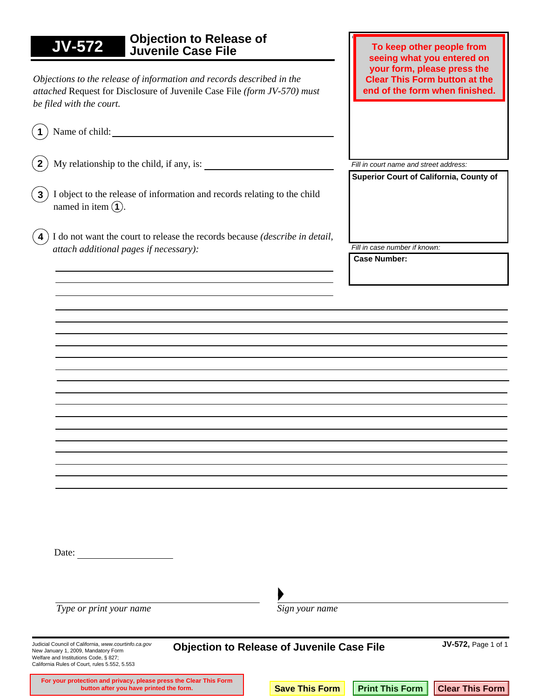| <b>Objection to Release of</b><br><b>JV-572</b><br>Juvenile Case File                                                                                                              | To keep other people from<br>seeing what you entered on                                               |
|------------------------------------------------------------------------------------------------------------------------------------------------------------------------------------|-------------------------------------------------------------------------------------------------------|
| Objections to the release of information and records described in the<br>attached Request for Disclosure of Juvenile Case File (form JV-570) must<br>be filed with the court.      | your form, please press the<br><b>Clear This Form button at the</b><br>end of the form when finished. |
| Name of child:                                                                                                                                                                     |                                                                                                       |
| My relationship to the child, if any, is:<br>2 <sup>1</sup>                                                                                                                        | Fill in court name and street address:                                                                |
| I object to the release of information and records relating to the child<br>$\mathbf{3}$<br>named in item $\Omega$ .                                                               | Superior Court of California, County of                                                               |
| $\overline{4}$<br>I do not want the court to release the records because (describe in detail,                                                                                      |                                                                                                       |
| attach additional pages if necessary):                                                                                                                                             | Fill in case number if known:                                                                         |
|                                                                                                                                                                                    | <b>Case Number:</b>                                                                                   |
|                                                                                                                                                                                    |                                                                                                       |
|                                                                                                                                                                                    |                                                                                                       |
|                                                                                                                                                                                    |                                                                                                       |
|                                                                                                                                                                                    |                                                                                                       |
|                                                                                                                                                                                    |                                                                                                       |
|                                                                                                                                                                                    |                                                                                                       |
|                                                                                                                                                                                    |                                                                                                       |
|                                                                                                                                                                                    |                                                                                                       |
|                                                                                                                                                                                    |                                                                                                       |
|                                                                                                                                                                                    |                                                                                                       |
|                                                                                                                                                                                    |                                                                                                       |
|                                                                                                                                                                                    |                                                                                                       |
|                                                                                                                                                                                    |                                                                                                       |
|                                                                                                                                                                                    |                                                                                                       |
|                                                                                                                                                                                    |                                                                                                       |
| Date:                                                                                                                                                                              |                                                                                                       |
|                                                                                                                                                                                    |                                                                                                       |
| Type or print your name<br>Sign your name                                                                                                                                          |                                                                                                       |
| Judicial Council of California, www.courtinfo.ca.gov                                                                                                                               | JV-572, Page 1 of 1                                                                                   |
| <b>Objection to Release of Juvenile Case File</b><br>New January 1, 2009, Mandatory Form<br>Welfare and Institutions Code, § 827;<br>California Rules of Court, rules 5.552, 5.553 |                                                                                                       |

For your protection and privacy, please press the Clear This Form **Save This Form Print This Form Clear This Form**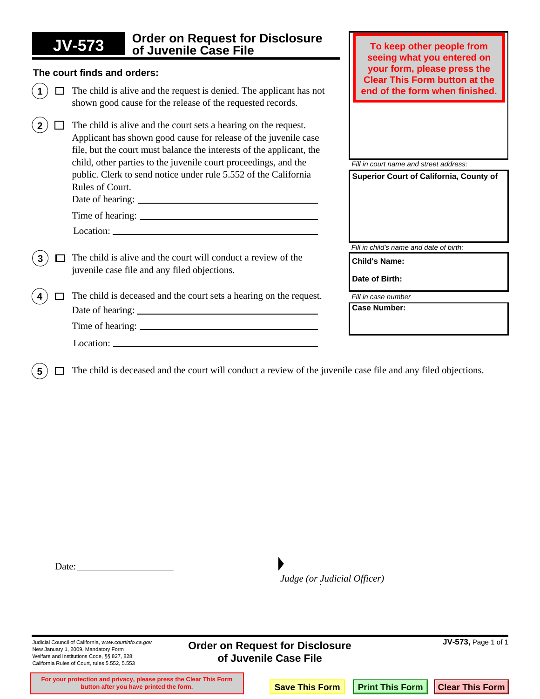| <b>Order on Request for Disclosure</b><br><b>JV-573</b><br>of Juvenile Case File                                                                                                                           | To keep other people from<br>seeing what you entered on             |
|------------------------------------------------------------------------------------------------------------------------------------------------------------------------------------------------------------|---------------------------------------------------------------------|
| The court finds and orders:                                                                                                                                                                                | your form, please press the<br><b>Clear This Form button at the</b> |
| The child is alive and the request is denied. The applicant has not<br>shown good cause for the release of the requested records.                                                                          | end of the form when finished.                                      |
| The child is alive and the court sets a hearing on the request.<br>Applicant has shown good cause for release of the juvenile case<br>file, but the court must balance the interests of the applicant, the |                                                                     |
| child, other parties to the juvenile court proceedings, and the                                                                                                                                            | Fill in court name and street address:                              |
| public. Clerk to send notice under rule 5.552 of the California<br>Rules of Court.                                                                                                                         | Superior Court of California, County of                             |
|                                                                                                                                                                                                            |                                                                     |
|                                                                                                                                                                                                            |                                                                     |
|                                                                                                                                                                                                            |                                                                     |
|                                                                                                                                                                                                            | Fill in child's name and date of birth:                             |
| The child is alive and the court will conduct a review of the                                                                                                                                              | <b>Child's Name:</b>                                                |
| juvenile case file and any filed objections.                                                                                                                                                               | Date of Birth:                                                      |
| The child is deceased and the court sets a hearing on the request.                                                                                                                                         | Fill in case number                                                 |
|                                                                                                                                                                                                            | <b>Case Number:</b>                                                 |
|                                                                                                                                                                                                            |                                                                     |
|                                                                                                                                                                                                            |                                                                     |
|                                                                                                                                                                                                            |                                                                     |

 $(5)$   $\Box$  The child is deceased and the court will conduct a review of the juvenile case file and any filed objections.

. *Judge (or Judicial Officer)*

New January 1, 2009, Mandatory Form Welfare and Institutions Code, §§ 827, 828; California Rules of Court, rules 5.552, 5.553

Judicial Council of California, *www.courtinfo.ca.gov* **JV-573,** Page 1 of 1 **Order on Request for Disclosure of Juvenile Case File** 

**For your protection and privacy, please press the Clear This Form button after you have printed the form. Save This Form Print This Form Clear This Form**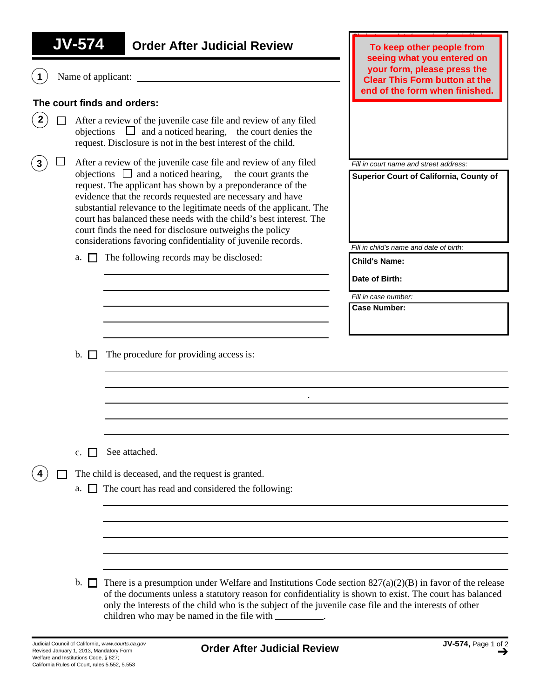**1** Name of applicant:

### **The court finds and orders:**

- **2**  $\Box$  After a review of the juvenile case file and review of any filed objections  $\Box$  and a noticed hearing, the court denies the request. Disclosure is not in the best interest of the child.
- objections  $\Box$  and a noticed hearing, the court grants the request. The applicant has shown by a preponderance of the evidence that the records requested are necessary and have substantial relevance to the legitimate needs of the applicant. The court has balanced these needs with the child's best interest. The court finds the need for disclosure outweighs the policy considerations favoring confidentiality of juvenile records. **3**  $\Box$  After a review of the juvenile case file and review of any filed
	- a.  $\Box$  The following records may be disclosed:

*Clerk stamps date here when form is filed.* **To keep other people from seeing what you entered on your form, please press the Clear This Form button at the end of the form when finished.**

*Fill in court name and street address:*

**Superior Court of California, County of**

*Fill in child's name and date of birth:*

**Child's Name:**

**Date of Birth:**

*Fill in case number:* 

**Case Number:**

b.  $\Box$  The procedure for providing access is:

c.  $\Box$  See attached.

**4** The child is deceased, and the request is granted.

a.  $\Box$  The court has read and considered the following:

b.  $\Box$  There is a presumption under Welfare and Institutions Code section 827(a)(2)(B) in favor of the release of the documents unless a statutory reason for confidentiality is shown to exist. The court has balanced only the interests of the child who is the subject of the juvenile case file and the interests of other children who may be named in the file with \_\_\_\_\_\_\_\_\_\_.

.